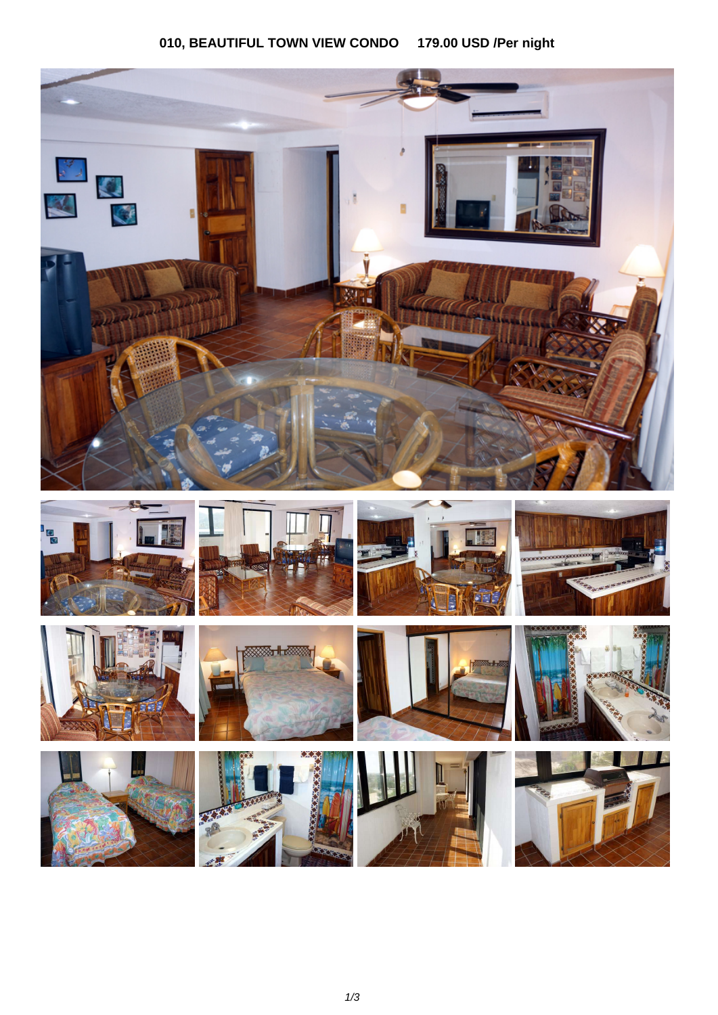## 010, BEAUTIFUL TOWN VIEW CONDO 179.00 USD /Per night

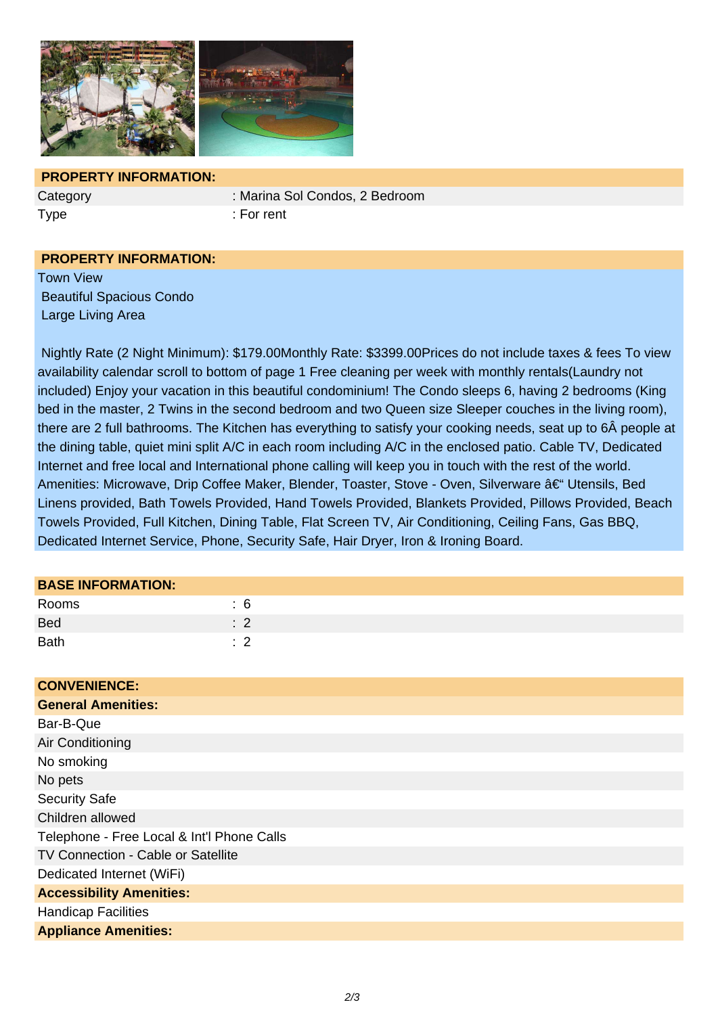

## **PROPERTY INFORMATION:**

Category : Marina Sol Condos, 2 Bedroom

Type : For rent

## **PROPERTY INFORMATION:**

Town View Beautiful Spacious Condo Large Living Area

 Nightly Rate (2 Night Minimum): \$179.00Monthly Rate: \$3399.00Prices do not include taxes & fees To view availability calendar scroll to bottom of page 1 Free cleaning per week with monthly rentals(Laundry not included) Enjoy your vacation in this beautiful condominium! The Condo sleeps 6, having 2 bedrooms (King bed in the master, 2 Twins in the second bedroom and two Queen size Sleeper couches in the living room), there are 2 full bathrooms. The Kitchen has everything to satisfy your cooking needs, seat up to 6Â people at the dining table, quiet mini split A/C in each room including A/C in the enclosed patio. Cable TV, Dedicated Internet and free local and International phone calling will keep you in touch with the rest of the world. Amenities: Microwave, Drip Coffee Maker, Blender, Toaster, Stove - Oven, Silverware – Utensils, Bed Linens provided, Bath Towels Provided, Hand Towels Provided, Blankets Provided, Pillows Provided, Beach Towels Provided, Full Kitchen, Dining Table, Flat Screen TV, Air Conditioning, Ceiling Fans, Gas BBQ, Dedicated Internet Service, Phone, Security Safe, Hair Dryer, Iron & Ironing Board.

| <b>BASE INFORMATION:</b> |                |  |  |
|--------------------------|----------------|--|--|
| Rooms                    | : 6            |  |  |
| <b>Bed</b>               | $\therefore$ 2 |  |  |
| <b>Bath</b>              | $\therefore$ 2 |  |  |
|                          |                |  |  |
| CONDITNITUOT.            |                |  |  |

| <b>CONVENIENCE:</b>                        |
|--------------------------------------------|
| <b>General Amenities:</b>                  |
| Bar-B-Que                                  |
| Air Conditioning                           |
| No smoking                                 |
| No pets                                    |
| <b>Security Safe</b>                       |
| Children allowed                           |
| Telephone - Free Local & Int'l Phone Calls |
| TV Connection - Cable or Satellite         |
| Dedicated Internet (WiFi)                  |
| <b>Accessibility Amenities:</b>            |
| <b>Handicap Facilities</b>                 |
| <b>Appliance Amenities:</b>                |